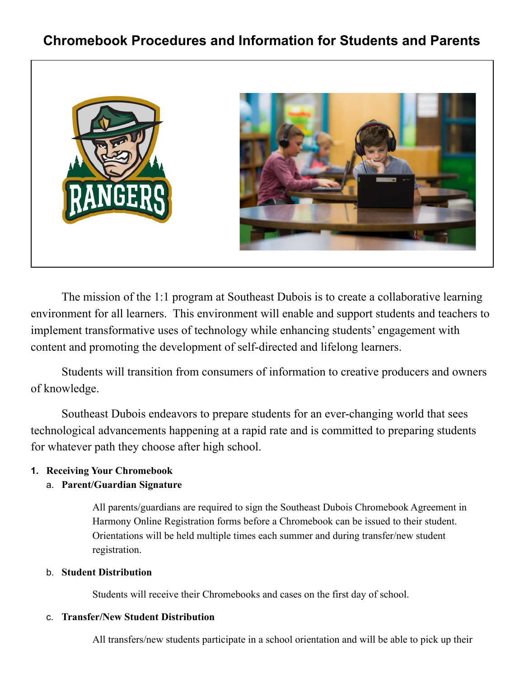# **Chromebook Procedures and Information for Students and Parents**



The mission of the 1:1 program at Southeast Dubois is to create a collaborative learning environment for all learners. This environment will enable and support students and teachers to implement transformative uses of technology while enhancing students' engagement with content and promoting the development of self-directed and lifelong learners.

Students will transition from consumers of information to creative producers and owners of knowledge.

Southeast Dubois endeavors to prepare students for an ever-changing world that sees technological advancements happening at a rapid rate and is committed to preparing students for whatever path they choose after high school.

#### **1. Receiving Your Chromebook**

#### a. **Parent/Guardian Signature**

All parents/guardians are required to sign the Southeast Dubois Chromebook Agreement in Harmony Online Registration forms before a Chromebook can be issued to their student. Orientations will be held multiple times each summer and during transfer/new student registration.

#### b. **Student Distribution**

Students will receive their Chromebooks and cases on the first day of school.

#### c. **Transfer/New Student Distribution**

All transfers/new students participate in a school orientation and will be able to pick up their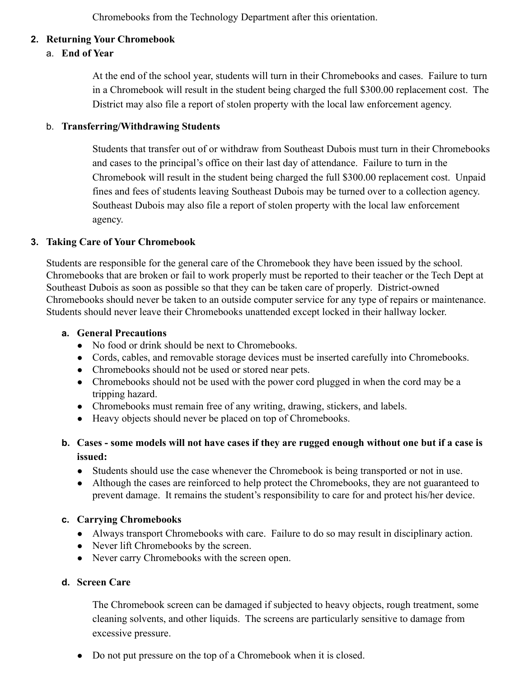Chromebooks from the Technology Department after this orientation.

#### **2. Returning Your Chromebook**

#### a. **End of Year**

At the end of the school year, students will turn in their Chromebooks and cases. Failure to turn in a Chromebook will result in the student being charged the full \$300.00 replacement cost. The District may also file a report of stolen property with the local law enforcement agency.

#### b. **Transferring/Withdrawing Students**

Students that transfer out of or withdraw from Southeast Dubois must turn in their Chromebooks and cases to the principal's office on their last day of attendance. Failure to turn in the Chromebook will result in the student being charged the full \$300.00 replacement cost. Unpaid fines and fees of students leaving Southeast Dubois may be turned over to a collection agency. Southeast Dubois may also file a report of stolen property with the local law enforcement agency.

#### **3. Taking Care of Your Chromebook**

Students are responsible for the general care of the Chromebook they have been issued by the school. Chromebooks that are broken or fail to work properly must be reported to their teacher or the Tech Dept at Southeast Dubois as soon as possible so that they can be taken care of properly. District-owned Chromebooks should never be taken to an outside computer service for any type of repairs or maintenance. Students should never leave their Chromebooks unattended except locked in their hallway locker.

#### **a. General Precautions**

- No food or drink should be next to Chromebooks.
- Cords, cables, and removable storage devices must be inserted carefully into Chromebooks.
- Chromebooks should not be used or stored near pets.
- Chromebooks should not be used with the power cord plugged in when the cord may be a tripping hazard.
- Chromebooks must remain free of any writing, drawing, stickers, and labels.
- Heavy objects should never be placed on top of Chromebooks.
- **b. Cases some models will not have cases if they are rugged enough without one but if a case is issued:**
	- Students should use the case whenever the Chromebook is being transported or not in use.
	- Although the cases are reinforced to help protect the Chromebooks, they are not guaranteed to prevent damage. It remains the student's responsibility to care for and protect his/her device.

#### **c. Carrying Chromebooks**

- Always transport Chromebooks with care. Failure to do so may result in disciplinary action.
- Never lift Chromebooks by the screen.
- Never carry Chromebooks with the screen open.

#### **d. Screen Care**

The Chromebook screen can be damaged if subjected to heavy objects, rough treatment, some cleaning solvents, and other liquids. The screens are particularly sensitive to damage from excessive pressure.

• Do not put pressure on the top of a Chromebook when it is closed.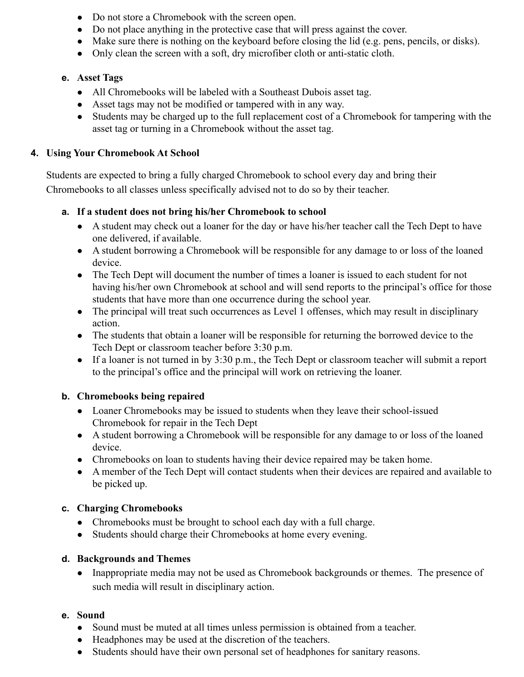- Do not store a Chromebook with the screen open.
- Do not place anything in the protective case that will press against the cover.
- Make sure there is nothing on the keyboard before closing the lid (e.g. pens, pencils, or disks).
- Only clean the screen with a soft, dry microfiber cloth or anti-static cloth.

#### **e. Asset Tags**

- All Chromebooks will be labeled with a Southeast Dubois asset tag.
- Asset tags may not be modified or tampered with in any way.
- Students may be charged up to the full replacement cost of a Chromebook for tampering with the asset tag or turning in a Chromebook without the asset tag.

#### **4. Using Your Chromebook At School**

Students are expected to bring a fully charged Chromebook to school every day and bring their Chromebooks to all classes unless specifically advised not to do so by their teacher.

#### **a. If a student does not bring his/her Chromebook to school**

- A student may check out a loaner for the day or have his/her teacher call the Tech Dept to have one delivered, if available.
- A student borrowing a Chromebook will be responsible for any damage to or loss of the loaned device.
- The Tech Dept will document the number of times a loaner is issued to each student for not having his/her own Chromebook at school and will send reports to the principal's office for those students that have more than one occurrence during the school year.
- The principal will treat such occurrences as Level 1 offenses, which may result in disciplinary action.
- The students that obtain a loaner will be responsible for returning the borrowed device to the Tech Dept or classroom teacher before 3:30 p.m.
- If a loaner is not turned in by 3:30 p.m., the Tech Dept or classroom teacher will submit a report to the principal's office and the principal will work on retrieving the loaner.

#### **b. Chromebooks being repaired**

- Loaner Chromebooks may be issued to students when they leave their school-issued Chromebook for repair in the Tech Dept
- A student borrowing a Chromebook will be responsible for any damage to or loss of the loaned device.
- Chromebooks on loan to students having their device repaired may be taken home.
- A member of the Tech Dept will contact students when their devices are repaired and available to be picked up.

#### **c. Charging Chromebooks**

- Chromebooks must be brought to school each day with a full charge.
- Students should charge their Chromebooks at home every evening.

#### **d. Backgrounds and Themes**

• Inappropriate media may not be used as Chromebook backgrounds or themes. The presence of such media will result in disciplinary action.

#### **e. Sound**

- Sound must be muted at all times unless permission is obtained from a teacher.
- Headphones may be used at the discretion of the teachers.
- Students should have their own personal set of headphones for sanitary reasons.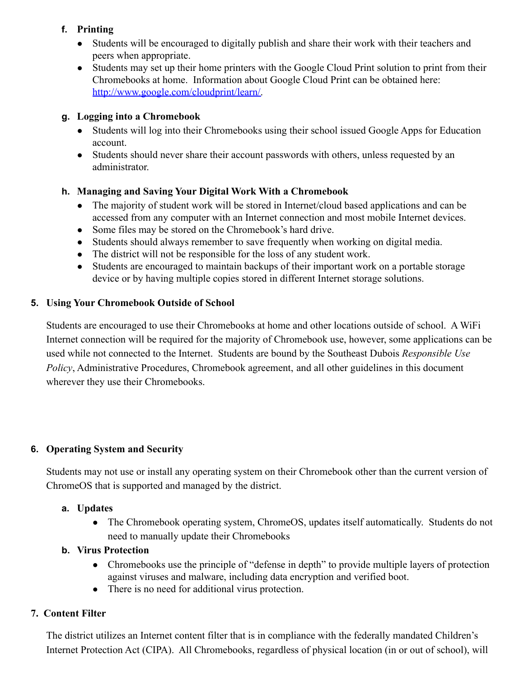#### **f. Printing**

- Students will be encouraged to digitally publish and share their work with their teachers and peers when appropriate.
- Students may set up their home printers with the Google Cloud Print solution to print from their Chromebooks at home. Information about Google Cloud Print can be obtained here: [http://www.google.com/cloudprint/learn/.](http://www.google.com/cloudprint/learn/)

# **g. Logging into a Chromebook**

- Students will log into their Chromebooks using their school issued Google Apps for Education account.
- Students should never share their account passwords with others, unless requested by an administrator.

# **h. Managing and Saving Your Digital Work With a Chromebook**

- The majority of student work will be stored in Internet/cloud based applications and can be accessed from any computer with an Internet connection and most mobile Internet devices.
- Some files may be stored on the Chromebook's hard drive.
- Students should always remember to save frequently when working on digital media.
- The district will not be responsible for the loss of any student work.
- Students are encouraged to maintain backups of their important work on a portable storage device or by having multiple copies stored in different Internet storage solutions.

#### **5. Using Your Chromebook Outside of School**

Students are encouraged to use their Chromebooks at home and other locations outside of school. A WiFi Internet connection will be required for the majority of Chromebook use, however, some applications can be used while not connected to the Internet. Students are bound by the Southeast Dubois *Responsible Use Policy*, Administrative Procedures, Chromebook agreement, and all other guidelines in this document wherever they use their Chromebooks.

#### **6. Operating System and Security**

Students may not use or install any operating system on their Chromebook other than the current version of ChromeOS that is supported and managed by the district.

#### **a. Updates**

• The Chromebook operating system, ChromeOS, updates itself automatically. Students do not need to manually update their Chromebooks

# **b. Virus Protection**

- Chromebooks use the principle of "defense in depth" to provide multiple layers of protection against viruses and malware, including data encryption and verified boot.
- There is no need for additional virus protection.

# **7. Content Filter**

The district utilizes an Internet content filter that is in compliance with the federally mandated Children's Internet Protection Act (CIPA). All Chromebooks, regardless of physical location (in or out of school), will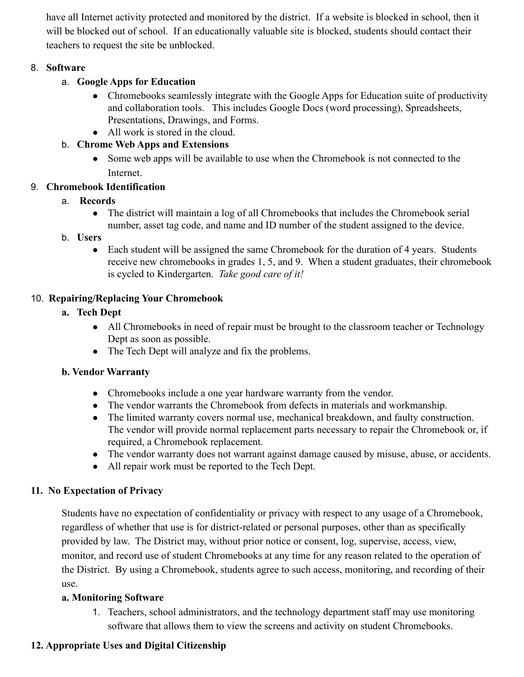have all Internet activity protected and monitored by the district. If a website is blocked in school, then it will be blocked out of school. If an educationally valuable site is blocked, students should contact their teachers to request the site be unblocked.

#### 8. **Software**

- a. **Google Apps for Education**
	- Chromebooks seamlessly integrate with the Google Apps for Education suite of productivity and collaboration tools. This includes Google Docs (word processing), Spreadsheets, Presentations, Drawings, and Forms.
	- All work is stored in the cloud.

# b. **Chrome Web Apps and Extensions**

• Some web apps will be available to use when the Chromebook is not connected to the Internet.

# 9. **Chromebook Identification**

- a. **Records**
	- The district will maintain a log of all Chromebooks that includes the Chromebook serial number, asset tag code, and name and ID number of the student assigned to the device.

# b. **Users**

• Each student will be assigned the same Chromebook for the duration of 4 years. Students receive new chromebooks in grades 1, 5, and 9. When a student graduates, their chromebook is cycled to Kindergarten. *Take good care of it!*

# 10. **Repairing/Replacing Your Chromebook**

- **a. Tech Dept**
	- All Chromebooks in need of repair must be brought to the classroom teacher or Technology Dept as soon as possible.
	- The Tech Dept will analyze and fix the problems.

# **b. Vendor Warranty**

- Chromebooks include a one year hardware warranty from the vendor.
- The vendor warrants the Chromebook from defects in materials and workmanship.
- The limited warranty covers normal use, mechanical breakdown, and faulty construction. The vendor will provide normal replacement parts necessary to repair the Chromebook or, if required, a Chromebook replacement.
- The vendor warranty does not warrant against damage caused by misuse, abuse, or accidents.
- All repair work must be reported to the Tech Dept.

# **11. No Expectation of Privacy**

Students have no expectation of confidentiality or privacy with respect to any usage of a Chromebook, regardless of whether that use is for district-related or personal purposes, other than as specifically provided by law. The District may, without prior notice or consent, log, supervise, access, view, monitor, and record use of student Chromebooks at any time for any reason related to the operation of the District. By using a Chromebook, students agree to such access, monitoring, and recording of their use.

# **a. Monitoring Software**

1. Teachers, school administrators, and the technology department staff may use monitoring software that allows them to view the screens and activity on student Chromebooks.

# **12. Appropriate Uses and Digital Citizenship**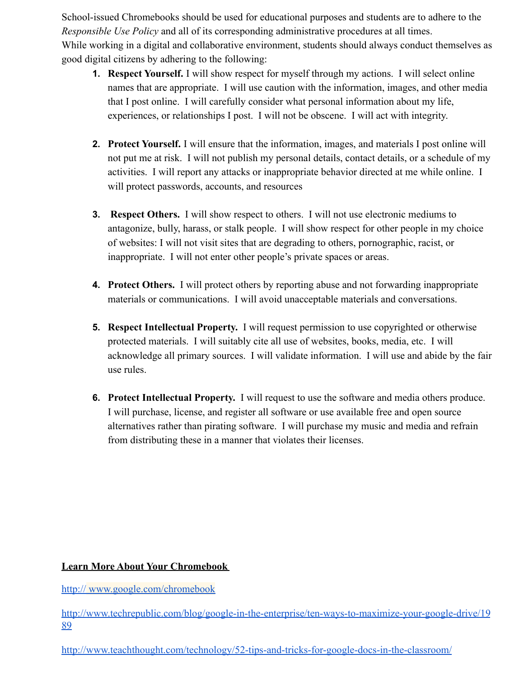School-issued Chromebooks should be used for educational purposes and students are to adhere to the *Responsible Use Policy* and all of its corresponding administrative procedures at all times. While working in a digital and collaborative environment, students should always conduct themselves as good digital citizens by adhering to the following:

- **1. Respect Yourself.** I will show respect for myself through my actions. I will select online names that are appropriate. I will use caution with the information, images, and other media that I post online. I will carefully consider what personal information about my life, experiences, or relationships I post. I will not be obscene. I will act with integrity.
- **2. Protect Yourself.** I will ensure that the information, images, and materials I post online will not put me at risk. I will not publish my personal details, contact details, or a schedule of my activities. I will report any attacks or inappropriate behavior directed at me while online. I will protect passwords, accounts, and resources
- **3. Respect Others.** I will show respect to others. I will not use electronic mediums to antagonize, bully, harass, or stalk people. I will show respect for other people in my choice of websites: I will not visit sites that are degrading to others, pornographic, racist, or inappropriate. I will not enter other people's private spaces or areas.
- **4. Protect Others.** I will protect others by reporting abuse and not forwarding inappropriate materials or communications. I will avoid unacceptable materials and conversations.
- **5. Respect Intellectual Property.** I will request permission to use copyrighted or otherwise protected materials. I will suitably cite all use of websites, books, media, etc. I will acknowledge all primary sources. I will validate information. I will use and abide by the fair use rules.
- **6. Protect Intellectual Property.** I will request to use the software and media others produce. I will purchase, license, and register all software or use available free and open source alternatives rather than pirating software. I will purchase my music and media and refrain from distributing these in a manner that violates their licenses.

#### **Learn More About Your Chromebook**

http:// [www.google.com/chromebook](http://www.google.com/chromebook)

[http://www.techrepublic.com/blog/google-in-the-enterprise/ten-ways-to-maximize-your-google-drive/19](http://www.techrepublic.com/blog/google-in-the-enterprise/ten-ways-to-maximize-your-google-drive/1989) [89](http://www.techrepublic.com/blog/google-in-the-enterprise/ten-ways-to-maximize-your-google-drive/1989)

<http://www.teachthought.com/technology/52-tips-and-tricks-for-google-docs-in-the-classroom/>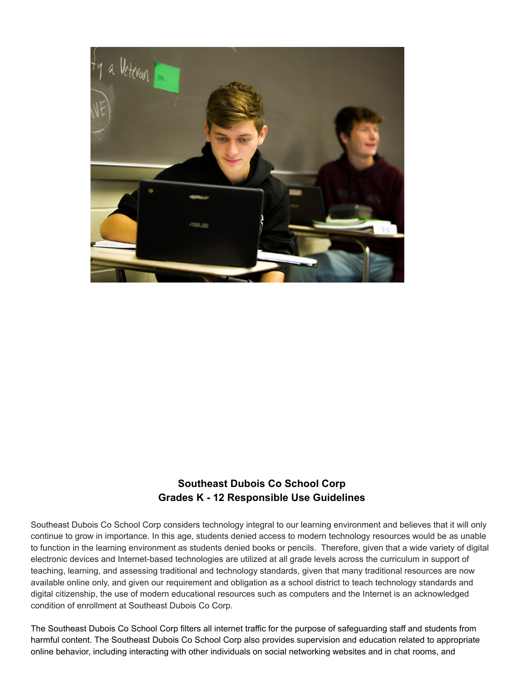

# **Southeast Dubois Co School Corp Grades K - 12 Responsible Use Guidelines**

Southeast Dubois Co School Corp considers technology integral to our learning environment and believes that it will only continue to grow in importance. In this age, students denied access to modern technology resources would be as unable to function in the learning environment as students denied books or pencils. Therefore, given that a wide variety of digital electronic devices and Internet-based technologies are utilized at all grade levels across the curriculum in support of teaching, learning, and assessing traditional and technology standards, given that many traditional resources are now available online only, and given our requirement and obligation as a school district to teach technology standards and digital citizenship, the use of modern educational resources such as computers and the Internet is an acknowledged condition of enrollment at Southeast Dubois Co Corp.

The Southeast Dubois Co School Corp filters all internet traffic for the purpose of safeguarding staff and students from harmful content. The Southeast Dubois Co School Corp also provides supervision and education related to appropriate online behavior, including interacting with other individuals on social networking websites and in chat rooms, and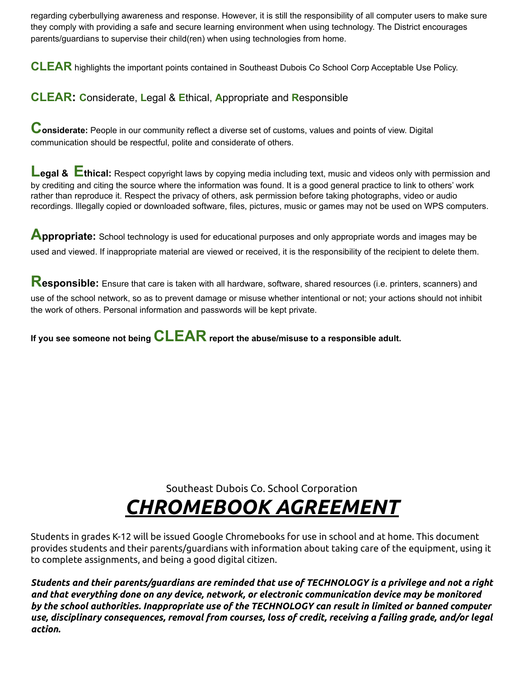regarding cyberbullying awareness and response. However, it is still the responsibility of all computer users to make sure they comply with providing a safe and secure learning environment when using technology. The District encourages parents/guardians to supervise their child(ren) when using technologies from home.

**CLEAR** highlights the important points contained in Southeast Dubois Co School Corp Acceptable Use Policy.

# **CLEAR: C**onsiderate, **L**egal & **E**thical, **A**ppropriate and **R**esponsible

**Considerate:** People in our community reflect <sup>a</sup> diverse set of customs, values and points of view. Digital communication should be respectful, polite and considerate of others.

**Leaal & Ethical:** Respect copyright laws by copying media including text, music and videos only with permission and by crediting and citing the source where the information was found. It is a good general practice to link to others' work rather than reproduce it. Respect the privacy of others, ask permission before taking photographs, video or audio recordings. Illegally copied or downloaded software, files, pictures, music or games may not be used on WPS computers.

**Abbropriate:** School technology is used for educational purposes and only appropriate words and images may be used and viewed. If inappropriate material are viewed or received, it is the responsibility of the recipient to delete them.

**Responsible:** Ensure that care is taken with all hardware, software, shared resources (i.e. printers, scanners) and use of the school network, so as to prevent damage or misuse whether intentional or not; your actions should not inhibit the work of others. Personal information and passwords will be kept private.

**If you see someone not being CLEAR report the abuse/misuse to <sup>a</sup> responsible adult.**

Southeast Dubois Co. School Corporation

# *CHROMEBOOK AGREEMENT*

Students in grades K-12 will be issued Google Chromebooks for use in school and at home. This document provides students and their parents/guardians with information about taking care of the equipment, using it to complete assignments, and being a good digital citizen.

*Students and their parents/guardians are reminded that use of TECHNOLOGY is a privilege and not a right and that everything done on any device, network, or electronic communication device may be monitored by the school authorities. Inappropriate use of the TECHNOLOGY can result in limited or banned computer use, disciplinary consequences, removal from courses, loss of credit, receiving a failing grade, and/or legal action.*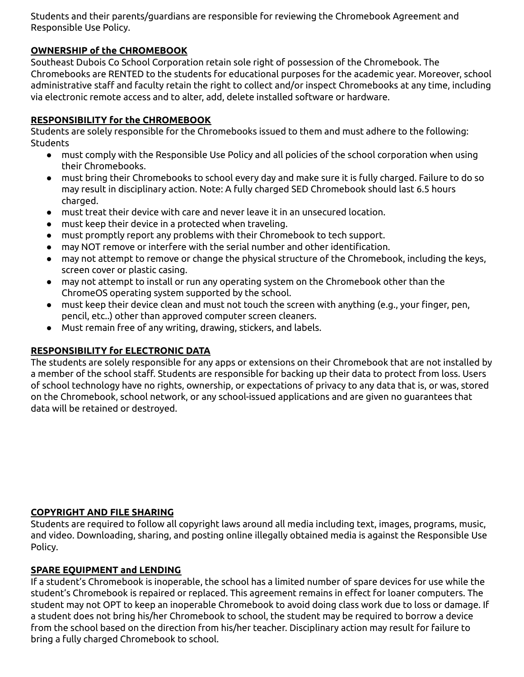Students and their parents/guardians are responsible for reviewing the Chromebook Agreement and Responsible Use Policy.

#### **OWNERSHIP of the CHROMEBOOK**

Southeast Dubois Co School Corporation retain sole right of possession of the Chromebook. The Chromebooks are RENTED to the students for educational purposes for the academic year. Moreover, school administrative staff and faculty retain the right to collect and/or inspect Chromebooks at any time, including via electronic remote access and to alter, add, delete installed software or hardware.

#### **RESPONSIBILITY for the CHROMEBOOK**

Students are solely responsible for the Chromebooks issued to them and must adhere to the following: Students

- must comply with the Responsible Use Policy and all policies of the school corporation when using their Chromebooks.
- must bring their Chromebooks to school every day and make sure it is fully charged. Failure to do so may result in disciplinary action. Note: A fully charged SED Chromebook should last 6.5 hours charged.
- must treat their device with care and never leave it in an unsecured location.
- must keep their device in a protected when traveling.
- must promptly report any problems with their Chromebook to tech support.
- may NOT remove or interfere with the serial number and other identification.
- may not attempt to remove or change the physical structure of the Chromebook, including the keys, screen cover or plastic casing.
- may not attempt to install or run any operating system on the Chromebook other than the ChromeOS operating system supported by the school.
- must keep their device clean and must not touch the screen with anything (e.g., your finger, pen, pencil, etc..) other than approved computer screen cleaners.
- Must remain free of any writing, drawing, stickers, and labels.

#### **RESPONSIBILITY for ELECTRONIC DATA**

The students are solely responsible for any apps or extensions on their Chromebook that are not installed by a member of the school staff. Students are responsible for backing up their data to protect from loss. Users of school technology have no rights, ownership, or expectations of privacy to any data that is, or was, stored on the Chromebook, school network, or any school-issued applications and are given no guarantees that data will be retained or destroyed.

#### **COPYRIGHT AND FILE SHARING**

Students are required to follow all copyright laws around all media including text, images, programs, music, and video. Downloading, sharing, and posting online illegally obtained media is against the Responsible Use Policy.

#### **SPARE EQUIPMENT and LENDING**

If a student's Chromebook is inoperable, the school has a limited number of spare devices for use while the student's Chromebook is repaired or replaced. This agreement remains in effect for loaner computers. The student may not OPT to keep an inoperable Chromebook to avoid doing class work due to loss or damage. If a student does not bring his/her Chromebook to school, the student may be required to borrow a device from the school based on the direction from his/her teacher. Disciplinary action may result for failure to bring a fully charged Chromebook to school.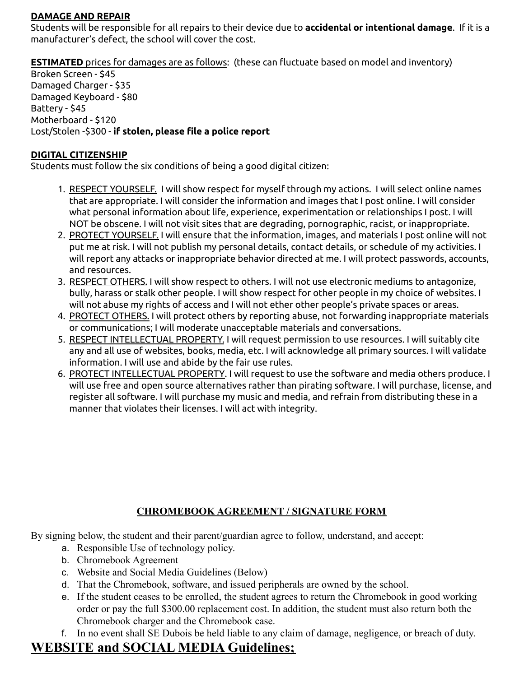#### **DAMAGE AND REPAIR**

Students will be responsible for all repairs to their device due to **accidental or intentional damage**. If it is a manufacturer's defect, the school will cover the cost.

**ESTIMATED** prices for damages are as follows: (these can fluctuate based on model and inventory)

Broken Screen - \$45 Damaged Charger - \$35 Damaged Keyboard - \$80 Battery - \$45 Motherboard - \$120 Lost/Stolen -\$300 - **if stolen, please file a police report**

#### **DIGITAL CITIZENSHIP**

Students must follow the six conditions of being a good digital citizen:

- 1. RESPECT YOURSELF. I will show respect for myself through my actions. I will select online names that are appropriate. I will consider the information and images that I post online. I will consider what personal information about life, experience, experimentation or relationships I post. I will NOT be obscene. I will not visit sites that are degrading, pornographic, racist, or inappropriate.
- 2. PROTECT YOURSELF. I will ensure that the information, images, and materials I post online will not put me at risk. I will not publish my personal details, contact details, or schedule of my activities. I will report any attacks or inappropriate behavior directed at me. I will protect passwords, accounts, and resources.
- 3. RESPECT OTHERS. I will show respect to others. I will not use electronic mediums to antagonize, bully, harass or stalk other people. I will show respect for other people in my choice of websites. I will not abuse my rights of access and I will not ether other people's private spaces or areas.
- 4. PROTECT OTHERS. I will protect others by reporting abuse, not forwarding inappropriate materials or communications; I will moderate unacceptable materials and conversations.
- 5. RESPECT INTELLECTUAL PROPERTY. I will request permission to use resources. I will suitably cite any and all use of websites, books, media, etc. I will acknowledge all primary sources. I will validate information. I will use and abide by the fair use rules.
- 6. PROTECT INTELLECTUAL PROPERTY. I will request to use the software and media others produce. I will use free and open source alternatives rather than pirating software. I will purchase, license, and register all software. I will purchase my music and media, and refrain from distributing these in a manner that violates their licenses. I will act with integrity.

#### **CHROMEBOOK AGREEMENT / SIGNATURE FORM**

By signing below, the student and their parent/guardian agree to follow, understand, and accept:

- a. Responsible Use of technology policy.
- b. Chromebook Agreement
- c. Website and Social Media Guidelines (Below)
- d. That the Chromebook, software, and issued peripherals are owned by the school.
- e. If the student ceases to be enrolled, the student agrees to return the Chromebook in good working order or pay the full \$300.00 replacement cost. In addition, the student must also return both the Chromebook charger and the Chromebook case.
- f. In no event shall SE Dubois be held liable to any claim of damage, negligence, or breach of duty.

# **WEBSITE and SOCIAL MEDIA Guidelines;**